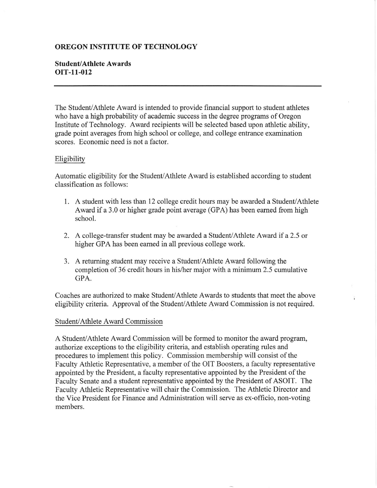# OREGON INSTITUTE OF TECHNOLOGY

# Student/Athlete Awards orr-11-012

The Student/Athlete Award is intended to provide financial support to student athletes who have a high probability of academic success in the degree programs of Oregon Institute of Technology. Award recipients will be selected based upon athletic ability, grade point averages from high school or college, and college entrance examination scores. Economic need is not a factor.

### Eligibility

Automatic eligibility for the Student/Athlete Award is established according to student classification as follows :

- 1. A student with less than 12 college credit hours may be awarded a Student/Athlete Award if a 3.0 or higher grade point average (GPA) has been earned from high school.
- 2. A college-transfer student may be awarded a Student/Athlete Award if a 2.5 or higher GPA has been eamed in all previous college work.
- 3. A returning student may receive a Student/Athlete Award following the completion of 36 credit hours in his/her major with a minimum 2.5 cumulative GPA.

Coaches are authorized to make Student/Athlete Awards to students that meet the above eligibility criteria. Approval of the Student/Athlete Award Commission is not required.

#### Student/Athlete Award Commission

A Student/Athlete Award Commission will be formed to monitor the award program, authorize exceptions to the eligibility criteria, and establish operating rules and procedures to implement this policy. Commission membership will consist of the Faculty Athletic Representative, a member of the OIT Boosters, a faculty representative appointed by the President, a faculty representative appointed by the President of the Faculty Senate and a student representative appointed by the President of ASOIT. The Faculty Athletic Representative will chair the Commission. The Athletic Director and the Vice President for Finance and Administration will serve as ex-officio, non-voting members.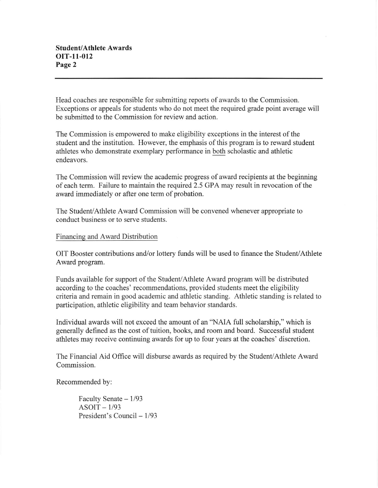Head coaches are responsible for submitting reports of awards to the Commission. Exceptions or appeals for students who do not meet the required grade point average will be submitted to the Commission for review and action.

The Commission is empowered to make eligibility exceptions in the interest of the student and the institution. However, the emphasis of this program is to reward student athletes who demonstrate exemplary performance in both scholastic and athletic endeavors.

The Commission will review the academic progress of award recipients at the beginning of each term. Failure to maintain the required 2.5 GPA may result in revocation of the award immediately or after one term of probation.

The Student/Athlete Award Commission will be convened whenever appropriate to conduct business or to serve students.

# Financing and Award Distribution

OIT Booster contributions and/or lottery funds will be used to finance the Student/Athlete Award program.

Funds available for support of the Student/Athlete Award program will be distributed according to the coaches' recommendations, provided students meet the eligibility criteria and remain in good academic and athletic standing. Athletic standing is related to participation, athletic eligibility and team behavior standards.

Individual awards will not exceed the amount of an 'NAIA full scholarship," which is generally defined as the cost of tuition, books, and room and board. Successful student athletes may receive continuing awards for up to four years at the coaches' discretion.

The Financial Aid Offrce will disburse awards as required by the Student/Athlete Award Commission.

Recommended by:

Faculty Senate  $-1/93$  $ASOIT - 1/93$ President's Council - 1/93